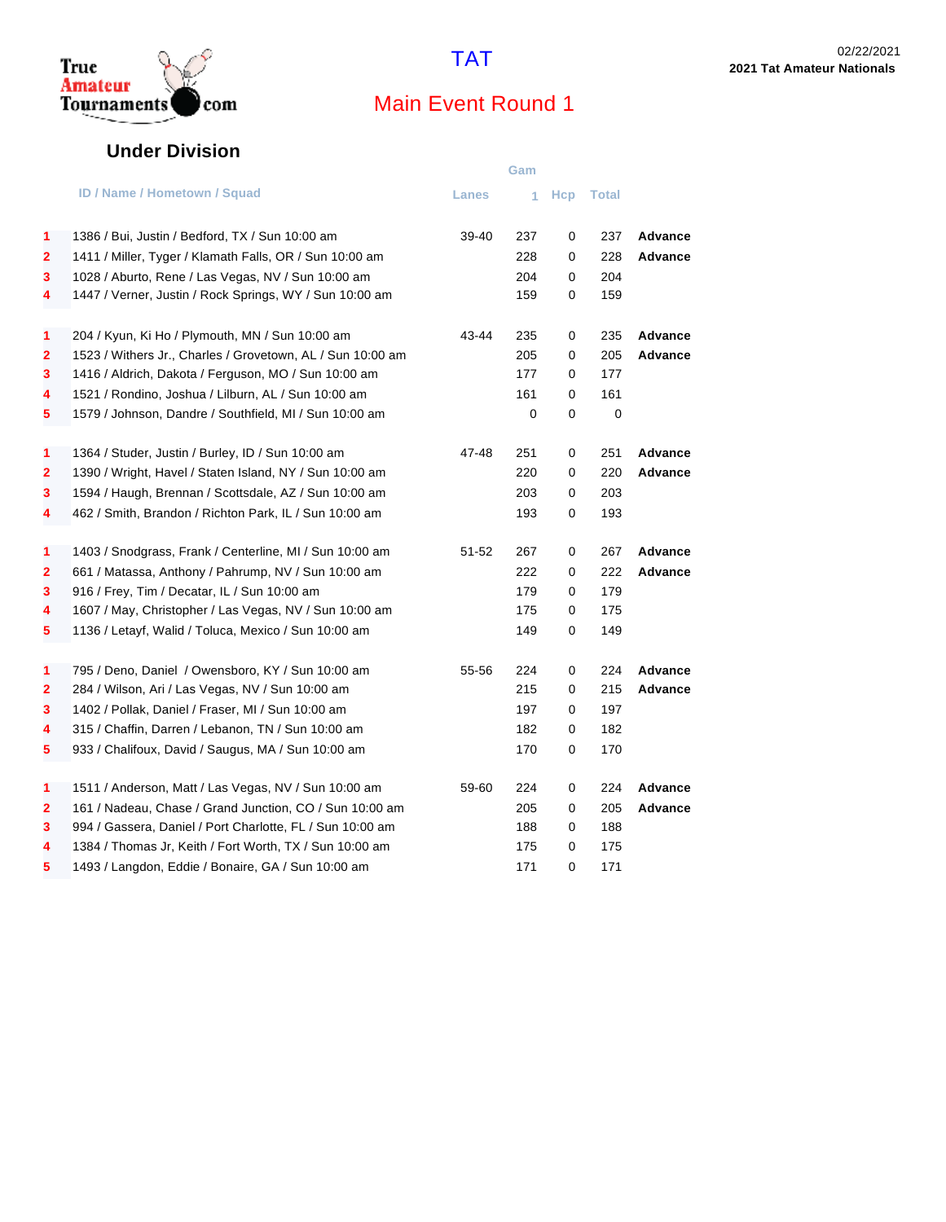

## True<br>Amateur<br>Tournaments com

## Main Event Round 1

#### **Under Division**

|                         |                                                            |       | Gam |             |           |                |
|-------------------------|------------------------------------------------------------|-------|-----|-------------|-----------|----------------|
|                         | <b>ID / Name / Hometown / Squad</b>                        | Lanes | 1   |             | Hcp Total |                |
| 1                       | 1386 / Bui, Justin / Bedford, TX / Sun 10:00 am            | 39-40 | 237 | 0           | 237       | Advance        |
| 2                       | 1411 / Miller, Tyger / Klamath Falls, OR / Sun 10:00 am    |       | 228 | 0           | 228       | <b>Advance</b> |
| 3                       | 1028 / Aburto, Rene / Las Vegas, NV / Sun 10:00 am         |       | 204 | 0           | 204       |                |
| 4                       | 1447 / Verner, Justin / Rock Springs, WY / Sun 10:00 am    |       | 159 | $\mathbf 0$ | 159       |                |
|                         |                                                            |       |     |             |           |                |
| 1                       | 204 / Kyun, Ki Ho / Plymouth, MN / Sun 10:00 am            | 43-44 | 235 | 0           | 235       | Advance        |
| $\mathbf{2}$            | 1523 / Withers Jr., Charles / Grovetown, AL / Sun 10:00 am |       | 205 | $\mathbf 0$ | 205       | <b>Advance</b> |
| 3                       | 1416 / Aldrich, Dakota / Ferguson, MO / Sun 10:00 am       |       | 177 | 0           | 177       |                |
| 4                       | 1521 / Rondino, Joshua / Lilburn, AL / Sun 10:00 am        |       | 161 | 0           | 161       |                |
| 5                       | 1579 / Johnson, Dandre / Southfield, MI / Sun 10:00 am     |       | 0   | $\mathbf 0$ | 0         |                |
| 1                       | 1364 / Studer, Justin / Burley, ID / Sun 10:00 am          | 47-48 | 251 | 0           | 251       | Advance        |
| $\overline{\mathbf{2}}$ | 1390 / Wright, Havel / Staten Island, NY / Sun 10:00 am    |       | 220 | 0           | 220       | Advance        |
| 3                       | 1594 / Haugh, Brennan / Scottsdale, AZ / Sun 10:00 am      |       | 203 | 0           | 203       |                |
| 4                       | 462 / Smith, Brandon / Richton Park, IL / Sun 10:00 am     |       | 193 | $\mathbf 0$ | 193       |                |
|                         |                                                            |       |     |             |           |                |
| 1                       | 1403 / Snodgrass, Frank / Centerline, MI / Sun 10:00 am    | 51-52 | 267 | 0           | 267       | <b>Advance</b> |
| 2                       | 661 / Matassa, Anthony / Pahrump, NV / Sun 10:00 am        |       | 222 | 0           | 222       | <b>Advance</b> |
| 3                       | 916 / Frey, Tim / Decatar, IL / Sun 10:00 am               |       | 179 | $\mathbf 0$ | 179       |                |
| 4                       | 1607 / May, Christopher / Las Vegas, NV / Sun 10:00 am     |       | 175 | $\mathbf 0$ | 175       |                |
| 5                       | 1136 / Letayf, Walid / Toluca, Mexico / Sun 10:00 am       |       | 149 | 0           | 149       |                |
| 1                       | 795 / Deno, Daniel / Owensboro, KY / Sun 10:00 am          | 55-56 | 224 | 0           | 224       | Advance        |
| 2                       | 284 / Wilson, Ari / Las Vegas, NV / Sun 10:00 am           |       | 215 | 0           | 215       | Advance        |
| 3                       | 1402 / Pollak, Daniel / Fraser, MI / Sun 10:00 am          |       | 197 | 0           | 197       |                |
| 4                       | 315 / Chaffin, Darren / Lebanon, TN / Sun 10:00 am         |       | 182 | 0           | 182       |                |
| 5                       | 933 / Chalifoux, David / Saugus, MA / Sun 10:00 am         |       | 170 | 0           | 170       |                |
|                         |                                                            |       |     |             |           |                |
| 1                       | 1511 / Anderson, Matt / Las Vegas, NV / Sun 10:00 am       | 59-60 | 224 | 0           | 224       | Advance        |
| 2                       | 161 / Nadeau, Chase / Grand Junction, CO / Sun 10:00 am    |       | 205 | 0           | 205       | <b>Advance</b> |
| 3                       | 994 / Gassera, Daniel / Port Charlotte, FL / Sun 10:00 am  |       | 188 | 0           | 188       |                |
| 4                       | 1384 / Thomas Jr, Keith / Fort Worth, TX / Sun 10:00 am    |       | 175 | 0           | 175       |                |
| 5                       | 1493 / Langdon, Eddie / Bonaire, GA / Sun 10:00 am         |       | 171 | 0           | 171       |                |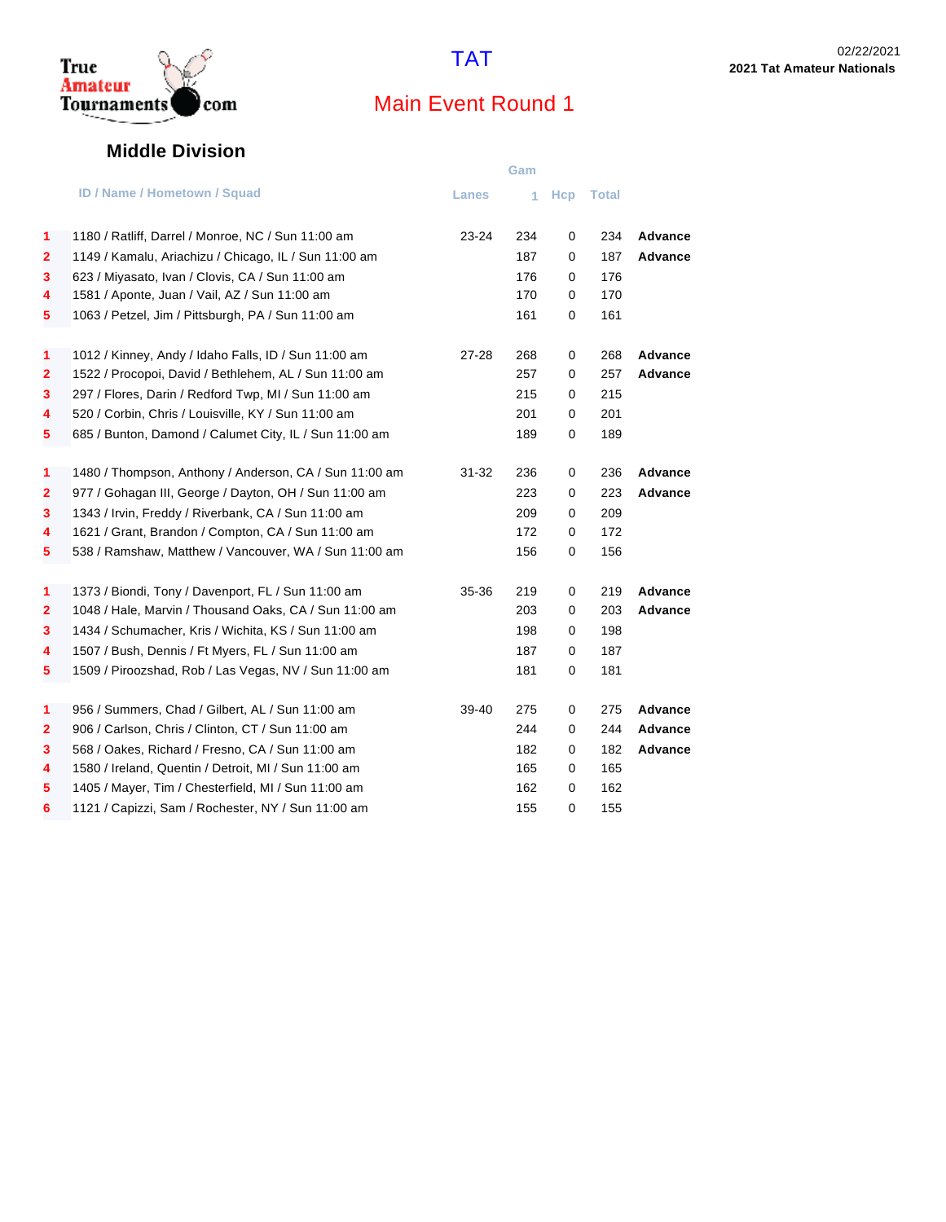

#### **Middle Division**

com

True <br>Amateur<br>Tournaments

|                         |                                                        |              | Gam |            |       |                |
|-------------------------|--------------------------------------------------------|--------------|-----|------------|-------|----------------|
|                         | <b>ID / Name / Hometown / Squad</b>                    | <b>Lanes</b> | 1   | <b>Hcp</b> | Total |                |
| 1                       | 1180 / Ratliff, Darrel / Monroe, NC / Sun 11:00 am     | $23 - 24$    | 234 | 0          | 234   | Advance        |
| $\overline{2}$          | 1149 / Kamalu, Ariachizu / Chicago, IL / Sun 11:00 am  |              | 187 | 0          | 187   | <b>Advance</b> |
| 3                       | 623 / Miyasato, Ivan / Clovis, CA / Sun 11:00 am       |              | 176 | 0          | 176   |                |
| 4                       | 1581 / Aponte, Juan / Vail, AZ / Sun 11:00 am          |              | 170 | 0          | 170   |                |
| 5                       | 1063 / Petzel, Jim / Pittsburgh, PA / Sun 11:00 am     |              | 161 | 0          | 161   |                |
| 1                       | 1012 / Kinney, Andy / Idaho Falls, ID / Sun 11:00 am   | 27-28        | 268 | 0          | 268   | Advance        |
| $\mathbf{2}$            | 1522 / Procopoi, David / Bethlehem, AL / Sun 11:00 am  |              | 257 | 0          | 257   | <b>Advance</b> |
| 3                       | 297 / Flores, Darin / Redford Twp, MI / Sun 11:00 am   |              | 215 | 0          | 215   |                |
| 4                       | 520 / Corbin, Chris / Louisville, KY / Sun 11:00 am    |              | 201 | 0          | 201   |                |
| 5                       | 685 / Bunton, Damond / Calumet City, IL / Sun 11:00 am |              | 189 | 0          | 189   |                |
| 1                       | 1480 / Thompson, Anthony / Anderson, CA / Sun 11:00 am | $31 - 32$    | 236 | 0          | 236   | <b>Advance</b> |
| 2                       | 977 / Gohagan III, George / Dayton, OH / Sun 11:00 am  |              | 223 | 0          | 223   | <b>Advance</b> |
| 3                       | 1343 / Irvin, Freddy / Riverbank, CA / Sun 11:00 am    |              | 209 | 0          | 209   |                |
| 4                       | 1621 / Grant, Brandon / Compton, CA / Sun 11:00 am     |              | 172 | 0          | 172   |                |
| 5                       | 538 / Ramshaw, Matthew / Vancouver, WA / Sun 11:00 am  |              | 156 | 0          | 156   |                |
| 1                       | 1373 / Biondi, Tony / Davenport, FL / Sun 11:00 am     | 35-36        | 219 | 0          | 219   | <b>Advance</b> |
| $\overline{\mathbf{2}}$ | 1048 / Hale, Marvin / Thousand Oaks, CA / Sun 11:00 am |              | 203 | 0          | 203   | Advance        |
| 3                       | 1434 / Schumacher, Kris / Wichita, KS / Sun 11:00 am   |              | 198 | 0          | 198   |                |
| 4                       | 1507 / Bush, Dennis / Ft Myers, FL / Sun 11:00 am      |              | 187 | 0          | 187   |                |
| 5                       | 1509 / Piroozshad, Rob / Las Vegas, NV / Sun 11:00 am  |              | 181 | 0          | 181   |                |
| 1                       | 956 / Summers, Chad / Gilbert, AL / Sun 11:00 am       | 39-40        | 275 | 0          | 275   | Advance        |
| $\mathbf{2}$            | 906 / Carlson, Chris / Clinton, CT / Sun 11:00 am      |              | 244 | 0          | 244   | <b>Advance</b> |
| 3                       | 568 / Oakes, Richard / Fresno, CA / Sun 11:00 am       |              | 182 | 0          | 182   | <b>Advance</b> |
| 4                       | 1580 / Ireland, Quentin / Detroit, MI / Sun 11:00 am   |              | 165 | 0          | 165   |                |
| 5                       | 1405 / Mayer, Tim / Chesterfield, MI / Sun 11:00 am    |              | 162 | 0          | 162   |                |
| 6                       | 1121 / Capizzi, Sam / Rochester, NY / Sun 11:00 am     |              | 155 | 0          | 155   |                |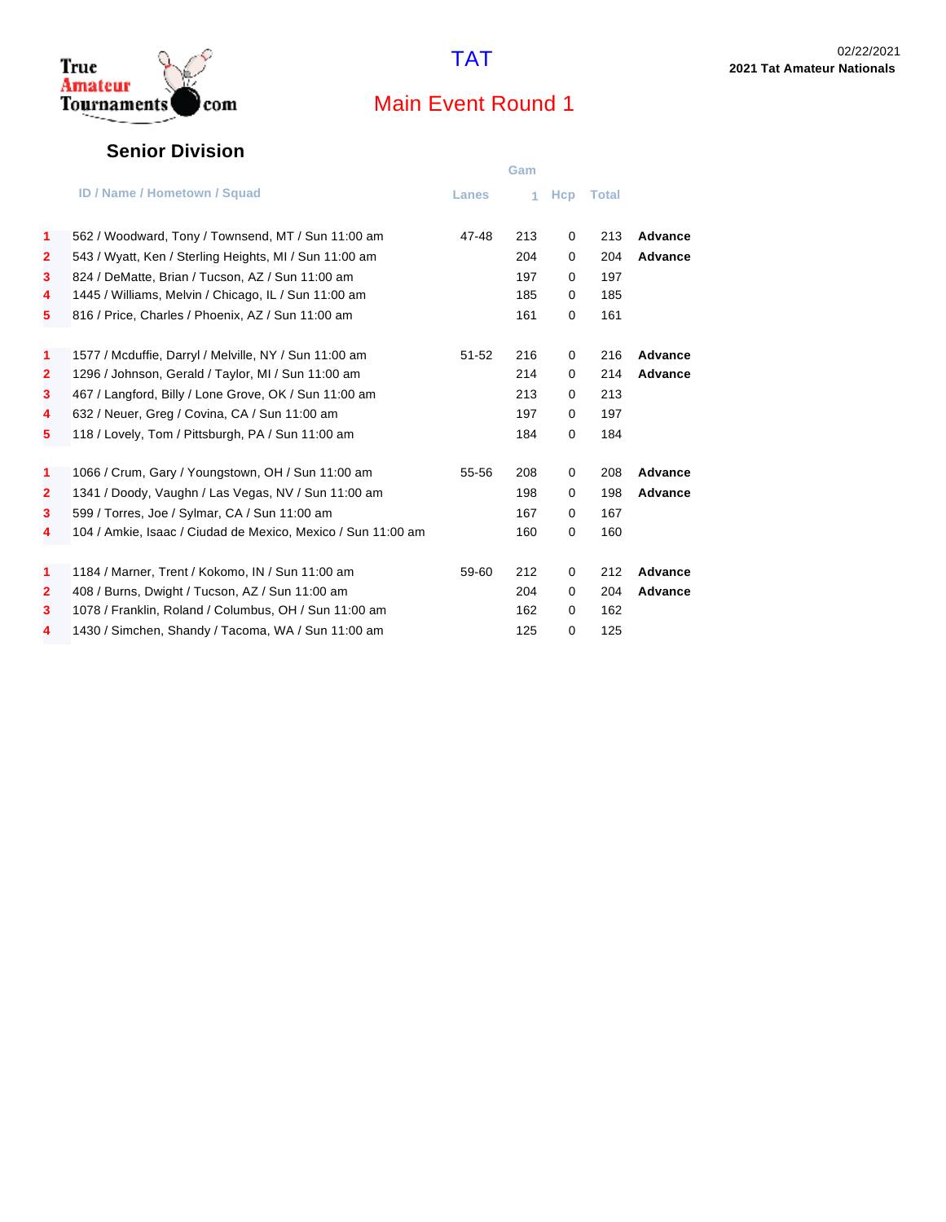

#### **Senior Division**

|              |                                                              |           | Gam |            |              |                |
|--------------|--------------------------------------------------------------|-----------|-----|------------|--------------|----------------|
|              | <b>ID / Name / Hometown / Squad</b>                          | Lanes     | 4.  | <b>Hcp</b> | <b>Total</b> |                |
| 1            | 562 / Woodward, Tony / Townsend, MT / Sun 11:00 am           | 47-48     | 213 | 0          | 213          | Advance        |
| $\mathbf{2}$ | 543 / Wyatt, Ken / Sterling Heights, MI / Sun 11:00 am       |           | 204 | $\Omega$   | 204          | Advance        |
| 3            | 824 / DeMatte, Brian / Tucson, AZ / Sun 11:00 am             |           | 197 | 0          | 197          |                |
| 4            | 1445 / Williams, Melvin / Chicago, IL / Sun 11:00 am         |           | 185 | 0          | 185          |                |
| 5            | 816 / Price, Charles / Phoenix, AZ / Sun 11:00 am            |           | 161 | 0          | 161          |                |
| $\mathbf{1}$ | 1577 / Mcduffie, Darryl / Melville, NY / Sun 11:00 am        | $51 - 52$ | 216 | 0          | 216          | Advance        |
| $\mathbf{2}$ | 1296 / Johnson, Gerald / Taylor, MI / Sun 11:00 am           |           | 214 | 0          | 214          | Advance        |
| 3            | 467 / Langford, Billy / Lone Grove, OK / Sun 11:00 am        |           | 213 | 0          | 213          |                |
| 4            | 632 / Neuer, Greg / Covina, CA / Sun 11:00 am                |           | 197 | 0          | 197          |                |
| 5            | 118 / Lovely, Tom / Pittsburgh, PA / Sun 11:00 am            |           | 184 | 0          | 184          |                |
| $\mathbf{1}$ | 1066 / Crum, Gary / Youngstown, OH / Sun 11:00 am            | 55-56     | 208 | 0          | 208          | Advance        |
| $\mathbf{2}$ | 1341 / Doody, Vaughn / Las Vegas, NV / Sun 11:00 am          |           | 198 | 0          | 198          | Advance        |
| 3            | 599 / Torres, Joe / Sylmar, CA / Sun 11:00 am                |           | 167 | $\Omega$   | 167          |                |
| 4            | 104 / Amkie, Isaac / Ciudad de Mexico, Mexico / Sun 11:00 am |           | 160 | 0          | 160          |                |
| 1            | 1184 / Marner, Trent / Kokomo, IN / Sun 11:00 am             | 59-60     | 212 | 0          | 212          | <b>Advance</b> |
| $\mathbf{2}$ | 408 / Burns, Dwight / Tucson, AZ / Sun 11:00 am              |           | 204 | 0          | 204          | Advance        |
| 3            | 1078 / Franklin, Roland / Columbus, OH / Sun 11:00 am        |           | 162 | $\Omega$   | 162          |                |
| 4            | 1430 / Simchen, Shandy / Tacoma, WA / Sun 11:00 am           |           | 125 | 0          | 125          |                |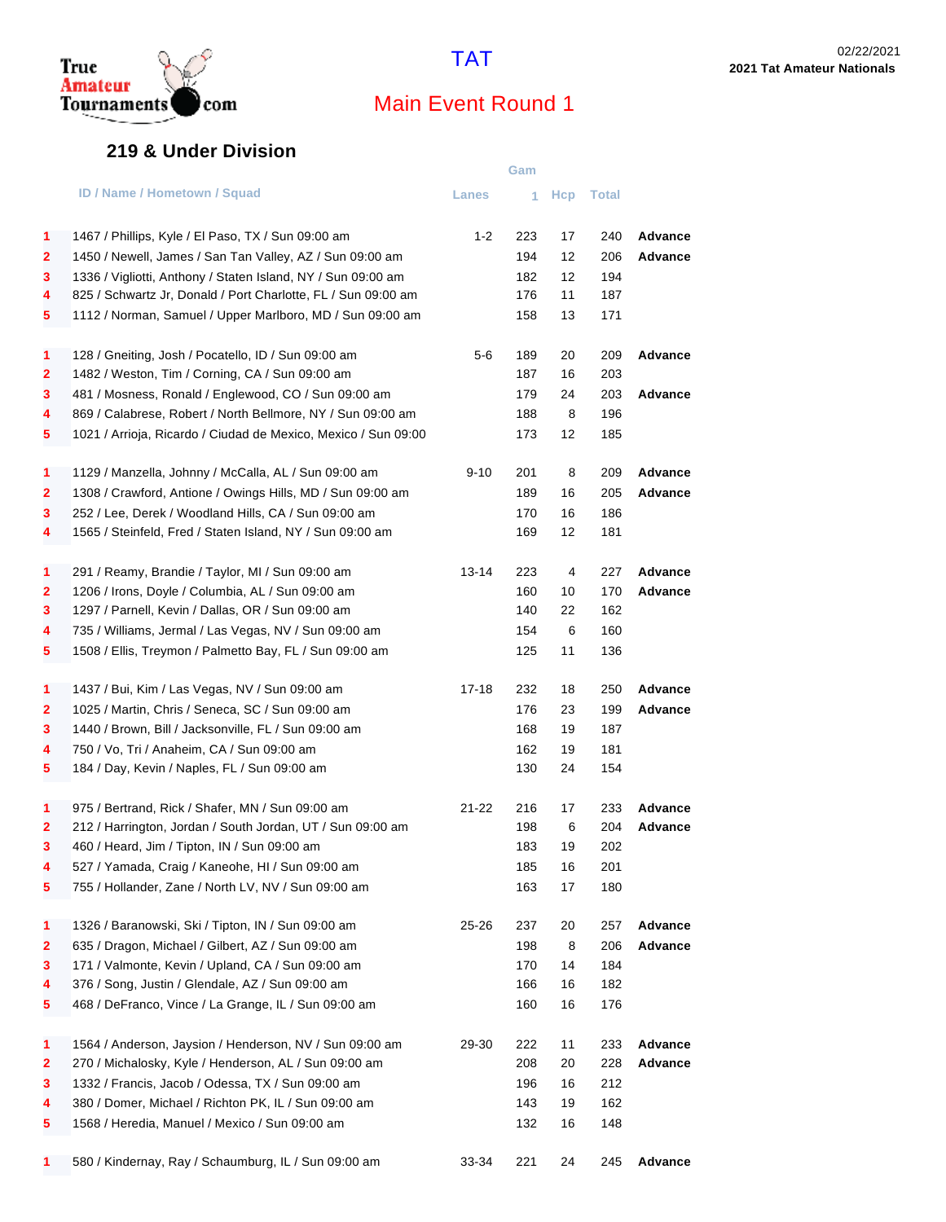

#### **219 & Under Division**

|                         |                                                                | Gam          |     |            |       |         |  |
|-------------------------|----------------------------------------------------------------|--------------|-----|------------|-------|---------|--|
|                         | <b>ID / Name / Hometown / Squad</b>                            | <b>Lanes</b> | 1   | <b>Hcp</b> | Total |         |  |
| 1                       | 1467 / Phillips, Kyle / El Paso, TX / Sun 09:00 am             | $1 - 2$      | 223 | 17         | 240   | Advance |  |
| 2                       | 1450 / Newell, James / San Tan Valley, AZ / Sun 09:00 am       |              | 194 | 12         | 206   | Advance |  |
| 3                       | 1336 / Vigliotti, Anthony / Staten Island, NY / Sun 09:00 am   |              | 182 | 12         | 194   |         |  |
| 4                       | 825 / Schwartz Jr, Donald / Port Charlotte, FL / Sun 09:00 am  |              | 176 | 11         | 187   |         |  |
| 5                       | 1112 / Norman, Samuel / Upper Marlboro, MD / Sun 09:00 am      |              | 158 | 13         | 171   |         |  |
| 1                       | 128 / Gneiting, Josh / Pocatello, ID / Sun 09:00 am            | 5-6          | 189 | 20         | 209   | Advance |  |
| 2                       | 1482 / Weston, Tim / Corning, CA / Sun 09:00 am                |              | 187 | 16         | 203   |         |  |
| 3                       | 481 / Mosness, Ronald / Englewood, CO / Sun 09:00 am           |              | 179 | 24         | 203   | Advance |  |
| 4                       | 869 / Calabrese, Robert / North Bellmore, NY / Sun 09:00 am    |              | 188 | 8          | 196   |         |  |
| 5                       | 1021 / Arrioja, Ricardo / Ciudad de Mexico, Mexico / Sun 09:00 |              | 173 | 12         | 185   |         |  |
| 1                       | 1129 / Manzella, Johnny / McCalla, AL / Sun 09:00 am           | $9 - 10$     | 201 | 8          | 209   | Advance |  |
| 2                       | 1308 / Crawford, Antione / Owings Hills, MD / Sun 09:00 am     |              | 189 | 16         | 205   | Advance |  |
| 3                       | 252 / Lee, Derek / Woodland Hills, CA / Sun 09:00 am           |              | 170 | 16         | 186   |         |  |
| 4                       | 1565 / Steinfeld, Fred / Staten Island, NY / Sun 09:00 am      |              | 169 | 12         | 181   |         |  |
| 1                       | 291 / Reamy, Brandie / Taylor, MI / Sun 09:00 am               | 13-14        | 223 | 4          | 227   | Advance |  |
| $\overline{\mathbf{2}}$ | 1206 / Irons, Doyle / Columbia, AL / Sun 09:00 am              |              | 160 | 10         | 170   | Advance |  |
| 3                       | 1297 / Parnell, Kevin / Dallas, OR / Sun 09:00 am              |              | 140 | 22         | 162   |         |  |
| 4                       | 735 / Williams, Jermal / Las Vegas, NV / Sun 09:00 am          |              | 154 | 6          | 160   |         |  |
| 5                       | 1508 / Ellis, Treymon / Palmetto Bay, FL / Sun 09:00 am        |              | 125 | 11         | 136   |         |  |
| 1                       | 1437 / Bui, Kim / Las Vegas, NV / Sun 09:00 am                 | $17 - 18$    | 232 | 18         | 250   | Advance |  |
| 2                       | 1025 / Martin, Chris / Seneca, SC / Sun 09:00 am               |              | 176 | 23         | 199   | Advance |  |
| 3                       | 1440 / Brown, Bill / Jacksonville, FL / Sun 09:00 am           |              | 168 | 19         | 187   |         |  |
| 4                       | 750 / Vo, Tri / Anaheim, CA / Sun 09:00 am                     |              | 162 | 19         | 181   |         |  |
| 5                       | 184 / Day, Kevin / Naples, FL / Sun 09:00 am                   |              | 130 | 24         | 154   |         |  |
| 1                       | 975 / Bertrand, Rick / Shafer, MN / Sun 09:00 am               | $21 - 22$    | 216 | 17         | 233   | Advance |  |
| 2                       | 212 / Harrington, Jordan / South Jordan, UT / Sun 09:00 am     |              | 198 | 6          | 204   | Advance |  |
| 3                       | 460 / Heard, Jim / Tipton, IN / Sun 09:00 am                   |              | 183 | 19         | 202   |         |  |
| 4                       | 527 / Yamada, Craig / Kaneohe, HI / Sun 09:00 am               |              | 185 | 16         | 201   |         |  |
| 5                       | 755 / Hollander, Zane / North LV, NV / Sun 09:00 am            |              | 163 | 17         | 180   |         |  |
| 1                       | 1326 / Baranowski, Ski / Tipton, IN / Sun 09:00 am             | 25-26        | 237 | 20         | 257   | Advance |  |
| 2                       | 635 / Dragon, Michael / Gilbert, AZ / Sun 09:00 am             |              | 198 | 8          | 206   | Advance |  |
| 3                       | 171 / Valmonte, Kevin / Upland, CA / Sun 09:00 am              |              | 170 | 14         | 184   |         |  |
| 4                       | 376 / Song, Justin / Glendale, AZ / Sun 09:00 am               |              | 166 | 16         | 182   |         |  |
| 5                       | 468 / DeFranco, Vince / La Grange, IL / Sun 09:00 am           |              | 160 | 16         | 176   |         |  |
| 1                       | 1564 / Anderson, Jaysion / Henderson, NV / Sun 09:00 am        | 29-30        | 222 | 11         | 233   | Advance |  |
| 2                       | 270 / Michalosky, Kyle / Henderson, AL / Sun 09:00 am          |              | 208 | 20         | 228   | Advance |  |
| 3                       | 1332 / Francis, Jacob / Odessa, TX / Sun 09:00 am              |              | 196 | 16         | 212   |         |  |
| 4                       | 380 / Domer, Michael / Richton PK, IL / Sun 09:00 am           |              | 143 | 19         | 162   |         |  |
| 5                       | 1568 / Heredia, Manuel / Mexico / Sun 09:00 am                 |              | 132 | 16         | 148   |         |  |
| 1                       | 580 / Kindernay, Ray / Schaumburg, IL / Sun 09:00 am           | 33-34        | 221 | 24         | 245   | Advance |  |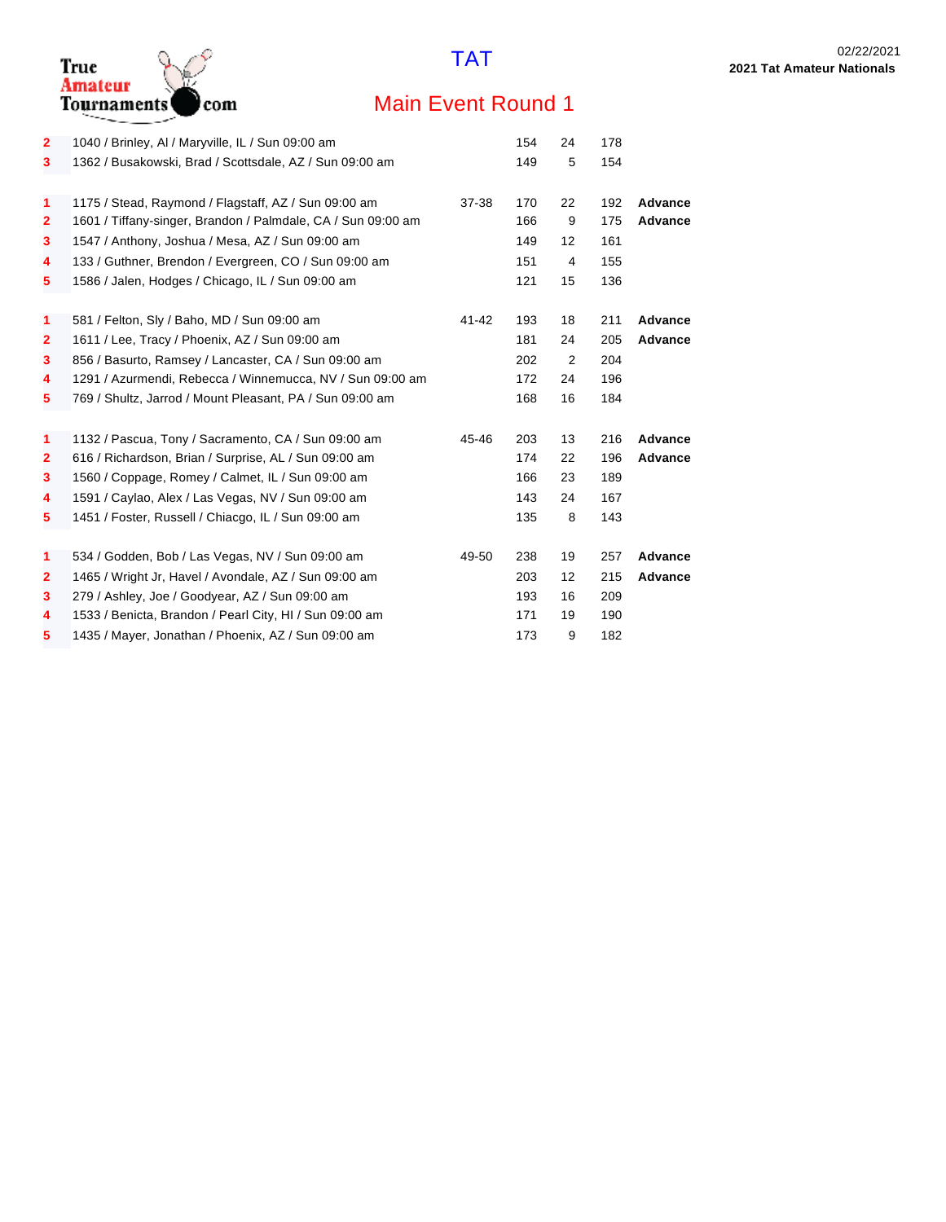

| $\mathbf{2}$ | 1040 / Brinley, AI / Maryville, IL / Sun 09:00 am                                                          |       | 154 | 24 | 178 |                |
|--------------|------------------------------------------------------------------------------------------------------------|-------|-----|----|-----|----------------|
| 3            | 1362 / Busakowski, Brad / Scottsdale, AZ / Sun 09:00 am                                                    |       | 149 | 5  | 154 |                |
|              |                                                                                                            |       |     |    |     |                |
| 1            | 1175 / Stead, Raymond / Flagstaff, AZ / Sun 09:00 am                                                       | 37-38 | 170 | 22 | 192 | <b>Advance</b> |
| $\mathbf{2}$ | 1601 / Tiffany-singer, Brandon / Palmdale, CA / Sun 09:00 am                                               |       | 166 | 9  | 175 | Advance        |
| 3            | 1547 / Anthony, Joshua / Mesa, AZ / Sun 09:00 am                                                           |       | 149 | 12 | 161 |                |
| 4            | 133 / Guthner, Brendon / Evergreen, CO / Sun 09:00 am                                                      |       | 151 | 4  | 155 |                |
| 5            | 1586 / Jalen, Hodges / Chicago, IL / Sun 09:00 am                                                          |       | 121 | 15 | 136 |                |
|              |                                                                                                            |       |     |    |     |                |
| 1            | 581 / Felton, Sly / Baho, MD / Sun 09:00 am                                                                | 41-42 | 193 | 18 | 211 | <b>Advance</b> |
| $\mathbf{2}$ | 1611 / Lee, Tracy / Phoenix, AZ / Sun 09:00 am                                                             |       | 181 | 24 | 205 | <b>Advance</b> |
| 3            | 856 / Basurto, Ramsey / Lancaster, CA / Sun 09:00 am                                                       |       | 202 | 2  | 204 |                |
| 4            | 1291 / Azurmendi, Rebecca / Winnemucca, NV / Sun 09:00 am                                                  |       | 172 | 24 | 196 |                |
| 5            | 769 / Shultz, Jarrod / Mount Pleasant, PA / Sun 09:00 am                                                   |       | 168 | 16 | 184 |                |
| 1            | 1132 / Pascua, Tony / Sacramento, CA / Sun 09:00 am                                                        | 45-46 | 203 | 13 | 216 | <b>Advance</b> |
| $\mathbf{2}$ |                                                                                                            |       | 174 | 22 | 196 | Advance        |
| 3            | 616 / Richardson, Brian / Surprise, AL / Sun 09:00 am<br>1560 / Coppage, Romey / Calmet, IL / Sun 09:00 am |       | 166 | 23 | 189 |                |
|              |                                                                                                            |       |     |    |     |                |
| 4            | 1591 / Caylao, Alex / Las Vegas, NV / Sun 09:00 am                                                         |       | 143 | 24 | 167 |                |
| 5            | 1451 / Foster, Russell / Chiacgo, IL / Sun 09:00 am                                                        |       | 135 | 8  | 143 |                |
| 1            | 534 / Godden, Bob / Las Vegas, NV / Sun 09:00 am                                                           | 49-50 | 238 | 19 | 257 | Advance        |
| $\mathbf{2}$ | 1465 / Wright Jr, Havel / Avondale, AZ / Sun 09:00 am                                                      |       | 203 | 12 | 215 | <b>Advance</b> |
| 3            | 279 / Ashley, Joe / Goodyear, AZ / Sun 09:00 am                                                            |       | 193 | 16 | 209 |                |
| 4            | 1533 / Benicta, Brandon / Pearl City, HI / Sun 09:00 am                                                    |       | 171 | 19 | 190 |                |
| 5            | 1435 / Mayer, Jonathan / Phoenix, AZ / Sun 09:00 am                                                        |       | 173 | 9  | 182 |                |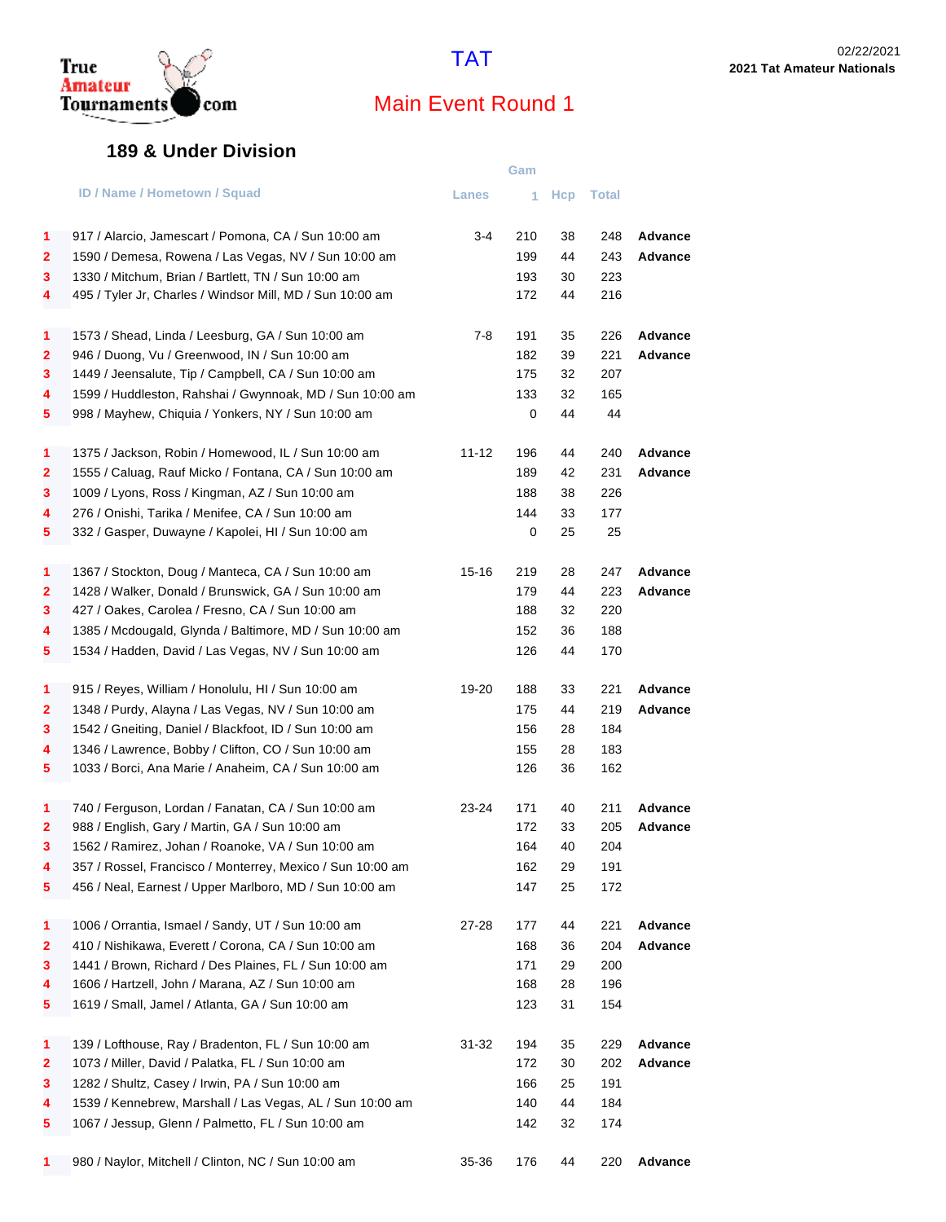

#### **189 & Under Division**

|                         |                                                            |           | Gam |            |       |         |
|-------------------------|------------------------------------------------------------|-----------|-----|------------|-------|---------|
|                         | <b>ID / Name / Hometown / Squad</b>                        | Lanes     | 1   | <b>Hcp</b> | Total |         |
| 1                       | 917 / Alarcio, Jamescart / Pomona, CA / Sun 10:00 am       | 3-4       | 210 | 38         | 248   | Advance |
| 2                       | 1590 / Demesa, Rowena / Las Vegas, NV / Sun 10:00 am       |           | 199 | 44         | 243   | Advance |
| 3                       | 1330 / Mitchum, Brian / Bartlett, TN / Sun 10:00 am        |           | 193 | 30         | 223   |         |
| 4                       | 495 / Tyler Jr, Charles / Windsor Mill, MD / Sun 10:00 am  |           | 172 | 44         | 216   |         |
| 1                       | 1573 / Shead, Linda / Leesburg, GA / Sun 10:00 am          | $7-8$     | 191 | 35         | 226   | Advance |
| 2                       | 946 / Duong, Vu / Greenwood, IN / Sun 10:00 am             |           | 182 | 39         | 221   | Advance |
| 3                       | 1449 / Jeensalute, Tip / Campbell, CA / Sun 10:00 am       |           | 175 | 32         | 207   |         |
| 4                       | 1599 / Huddleston, Rahshai / Gwynnoak, MD / Sun 10:00 am   |           | 133 | 32         | 165   |         |
| 5                       | 998 / Mayhew, Chiquia / Yonkers, NY / Sun 10:00 am         |           | 0   | 44         | 44    |         |
| 1                       | 1375 / Jackson, Robin / Homewood, IL / Sun 10:00 am        | 11-12     | 196 | 44         | 240   | Advance |
| $\overline{\mathbf{2}}$ | 1555 / Caluag, Rauf Micko / Fontana, CA / Sun 10:00 am     |           | 189 | 42         | 231   | Advance |
| 3                       | 1009 / Lyons, Ross / Kingman, AZ / Sun 10:00 am            |           | 188 | 38         | 226   |         |
| 4                       | 276 / Onishi, Tarika / Menifee, CA / Sun 10:00 am          |           | 144 | 33         | 177   |         |
| 5                       | 332 / Gasper, Duwayne / Kapolei, HI / Sun 10:00 am         |           | 0   | 25         | 25    |         |
| 1                       | 1367 / Stockton, Doug / Manteca, CA / Sun 10:00 am         | $15 - 16$ | 219 | 28         | 247   | Advance |
| 2                       | 1428 / Walker, Donald / Brunswick, GA / Sun 10:00 am       |           | 179 | 44         | 223   | Advance |
| 3                       | 427 / Oakes, Carolea / Fresno, CA / Sun 10:00 am           |           | 188 | 32         | 220   |         |
| 4                       | 1385 / Mcdougald, Glynda / Baltimore, MD / Sun 10:00 am    |           | 152 | 36         | 188   |         |
| 5                       | 1534 / Hadden, David / Las Vegas, NV / Sun 10:00 am        |           | 126 | 44         | 170   |         |
| 1                       | 915 / Reyes, William / Honolulu, HI / Sun 10:00 am         | 19-20     | 188 | 33         | 221   | Advance |
| 2                       | 1348 / Purdy, Alayna / Las Vegas, NV / Sun 10:00 am        |           | 175 | 44         | 219   | Advance |
| 3                       | 1542 / Gneiting, Daniel / Blackfoot, ID / Sun 10:00 am     |           | 156 | 28         | 184   |         |
| 4                       | 1346 / Lawrence, Bobby / Clifton, CO / Sun 10:00 am        |           | 155 | 28         | 183   |         |
| 5                       | 1033 / Borci, Ana Marie / Anaheim, CA / Sun 10:00 am       |           | 126 | 36         | 162   |         |
| 1                       | 740 / Ferguson, Lordan / Fanatan, CA / Sun 10:00 am        | 23-24     | 171 | 40         | 211   | Advance |
| 2                       | 988 / English, Gary / Martin, GA / Sun 10:00 am            |           | 172 | 33         | 205   | Advance |
| 3                       | 1562 / Ramirez, Johan / Roanoke, VA / Sun 10:00 am         |           | 164 | 40         | 204   |         |
| 4                       | 357 / Rossel, Francisco / Monterrey, Mexico / Sun 10:00 am |           | 162 | 29         | 191   |         |
| 5                       | 456 / Neal, Earnest / Upper Marlboro, MD / Sun 10:00 am    |           | 147 | 25         | 172   |         |
| 1                       | 1006 / Orrantia, Ismael / Sandy, UT / Sun 10:00 am         | 27-28     | 177 | 44         | 221   | Advance |
| 2                       | 410 / Nishikawa, Everett / Corona, CA / Sun 10:00 am       |           | 168 | 36         | 204   | Advance |
| 3                       | 1441 / Brown, Richard / Des Plaines, FL / Sun 10:00 am     |           | 171 | 29         | 200   |         |
| 4                       | 1606 / Hartzell, John / Marana, AZ / Sun 10:00 am          |           | 168 | 28         | 196   |         |
| 5                       | 1619 / Small, Jamel / Atlanta, GA / Sun 10:00 am           |           | 123 | 31         | 154   |         |
| 1                       | 139 / Lofthouse, Ray / Bradenton, FL / Sun 10:00 am        | 31-32     | 194 | 35         | 229   | Advance |
| 2                       | 1073 / Miller, David / Palatka, FL / Sun 10:00 am          |           | 172 | 30         | 202   | Advance |
| 3                       | 1282 / Shultz, Casey / Irwin, PA / Sun 10:00 am            |           | 166 | 25         | 191   |         |
| 4                       | 1539 / Kennebrew, Marshall / Las Vegas, AL / Sun 10:00 am  |           | 140 | 44         | 184   |         |
| 5                       | 1067 / Jessup, Glenn / Palmetto, FL / Sun 10:00 am         |           | 142 | 32         | 174   |         |
| 1                       | 980 / Naylor, Mitchell / Clinton, NC / Sun 10:00 am        | 35-36     | 176 | 44         | 220   | Advance |